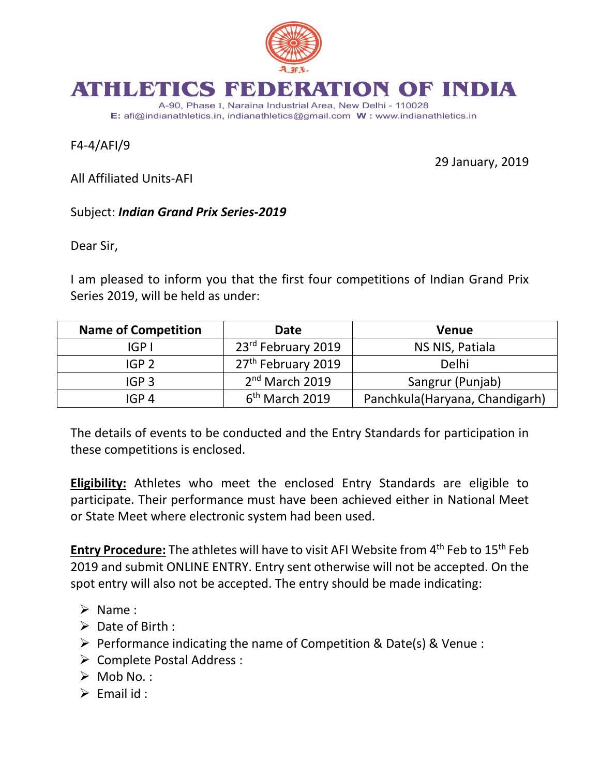

## ATHLETICS BE ATION OF INDIA

A-90, Phase I, Naraina Industrial Area, New Delhi - 110028 E: afi@indianathletics.in, indianathletics@gmail.com W: www.indianathletics.in

F4-4/AFI/9

29 January, 2019

All Affiliated Units-AFI

## Subject: *Indian Grand Prix Series-2019*

Dear Sir,

I am pleased to inform you that the first four competitions of Indian Grand Prix Series 2019, will be held as under:

| <b>Name of Competition</b> | <b>Date</b>                    | <b>Venue</b>                    |
|----------------------------|--------------------------------|---------------------------------|
| IGP I                      | 23 <sup>rd</sup> February 2019 | NS NIS, Patiala                 |
| IGP <sub>2</sub>           | 27 <sup>th</sup> February 2019 | Delhi                           |
| IGP <sub>3</sub>           | 2 <sup>nd</sup> March 2019     | Sangrur (Punjab)                |
| IGP 4                      | 6 <sup>th</sup> March 2019     | Panchkula (Haryana, Chandigarh) |

The details of events to be conducted and the Entry Standards for participation in these competitions is enclosed.

**Eligibility:** Athletes who meet the enclosed Entry Standards are eligible to participate. Their performance must have been achieved either in National Meet or State Meet where electronic system had been used.

**Entry Procedure:** The athletes will have to visit AFI Website from 4<sup>th</sup> Feb to 15<sup>th</sup> Feb 2019 and submit ONLINE ENTRY. Entry sent otherwise will not be accepted. On the spot entry will also not be accepted. The entry should be made indicating:

- $\triangleright$  Name :
- $\triangleright$  Date of Birth :
- $\triangleright$  Performance indicating the name of Competition & Date(s) & Venue :
- ▶ Complete Postal Address :
- $\triangleright$  Mob No.:
- $\triangleright$  Email id :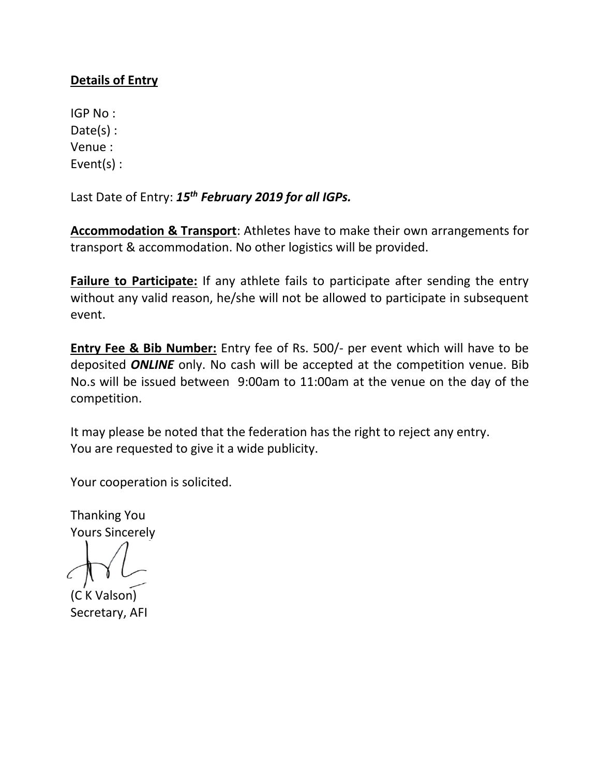## **Details of Entry**

IGP No : Date(s) : Venue : Event(s) :

Last Date of Entry: *15th February 2019 for all IGPs.*

**Accommodation & Transport**: Athletes have to make their own arrangements for transport & accommodation. No other logistics will be provided.

**Failure to Participate:** If any athlete fails to participate after sending the entry without any valid reason, he/she will not be allowed to participate in subsequent event.

**Entry Fee & Bib Number:** Entry fee of Rs. 500/- per event which will have to be deposited *ONLINE* only. No cash will be accepted at the competition venue. Bib No.s will be issued between 9:00am to 11:00am at the venue on the day of the competition.

It may please be noted that the federation has the right to reject any entry. You are requested to give it a wide publicity.

Your cooperation is solicited.

Thanking You Yours Sincerely

(C K Valson) Secretary, AFI